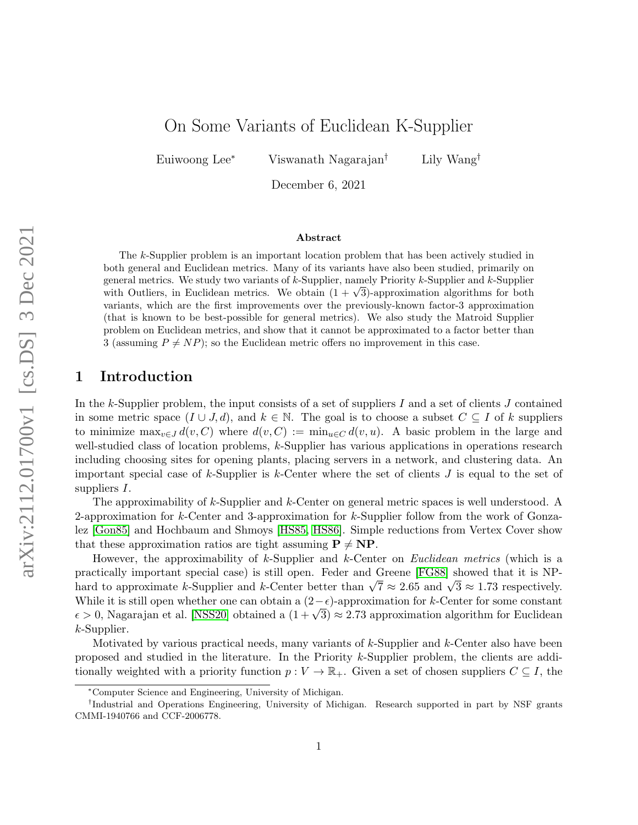# On Some Variants of Euclidean K-Supplier

Euiwoong Lee<sup>∗</sup> Viswanath Nagarajan† Lily Wang†

December 6, 2021

#### Abstract

The k-Supplier problem is an important location problem that has been actively studied in both general and Euclidean metrics. Many of its variants have also been studied, primarily on general metrics. We study two variants of  $k$ -Supplier, namely Priority  $k$ -Supplier and  $k$ -Supplier general metrics. We study two variants of  $\kappa$ -supplier, namely Priority  $\kappa$ -supplier and  $\kappa$ -supplier with Outliers, in Euclidean metrics. We obtain  $(1 + \sqrt{3})$ -approximation algorithms for both variants, which are the first improvements over the previously-known factor-3 approximation (that is known to be best-possible for general metrics). We also study the Matroid Supplier problem on Euclidean metrics, and show that it cannot be approximated to a factor better than 3 (assuming  $P \neq NP$ ); so the Euclidean metric offers no improvement in this case.

## 1 Introduction

In the k-Supplier problem, the input consists of a set of suppliers I and a set of clients J contained in some metric space  $(I \cup J, d)$ , and  $k \in \mathbb{N}$ . The goal is to choose a subset  $C \subseteq I$  of k suppliers to minimize  $\max_{v \in J} d(v, C)$  where  $d(v, C) := \min_{u \in C} d(v, u)$ . A basic problem in the large and well-studied class of location problems, k-Supplier has various applications in operations research including choosing sites for opening plants, placing servers in a network, and clustering data. An important special case of k-Supplier is k-Center where the set of clients  $J$  is equal to the set of suppliers I.

The approximability of k-Supplier and k-Center on general metric spaces is well understood. A 2-approximation for k-Center and 3-approximation for k-Supplier follow from the work of Gonzalez [\[Gon85\]](#page-12-0) and Hochbaum and Shmoys [\[HS85,](#page-12-1) [HS86\]](#page-12-2). Simple reductions from Vertex Cover show that these approximation ratios are tight assuming  $P \neq NP$ .

However, the approximability of k-Supplier and k-Center on *Euclidean metrics* (which is a practically important special case) is still open. Feder and Greene [\[FG88\]](#page-12-3) showed that it is NPpractically important special case) is still open. Feder and Greene [FG88] showed that it is NF-<br>hard to approximate k-Supplier and k-Center better than  $\sqrt{7} \approx 2.65$  and  $\sqrt{3} \approx 1.73$  respectively. While it is still open whether one can obtain a  $(2-\epsilon)$ -approximation for k-Center for some constant while it is still open whether one can obtain a  $(2-\epsilon)$ -approximation for *k*-Center for some constant  $\epsilon > 0$ , Nagarajan et al. [\[NSS20\]](#page-12-4) obtained a  $(1 + \sqrt{3}) \approx 2.73$  approximation algorithm for Euclidean k-Supplier.

Motivated by various practical needs, many variants of k-Supplier and k-Center also have been proposed and studied in the literature. In the Priority k-Supplier problem, the clients are additionally weighted with a priority function  $p: V \to \mathbb{R}_+$ . Given a set of chosen suppliers  $C \subseteq I$ , the

<sup>∗</sup>Computer Science and Engineering, University of Michigan.

<sup>†</sup> Industrial and Operations Engineering, University of Michigan. Research supported in part by NSF grants CMMI-1940766 and CCF-2006778.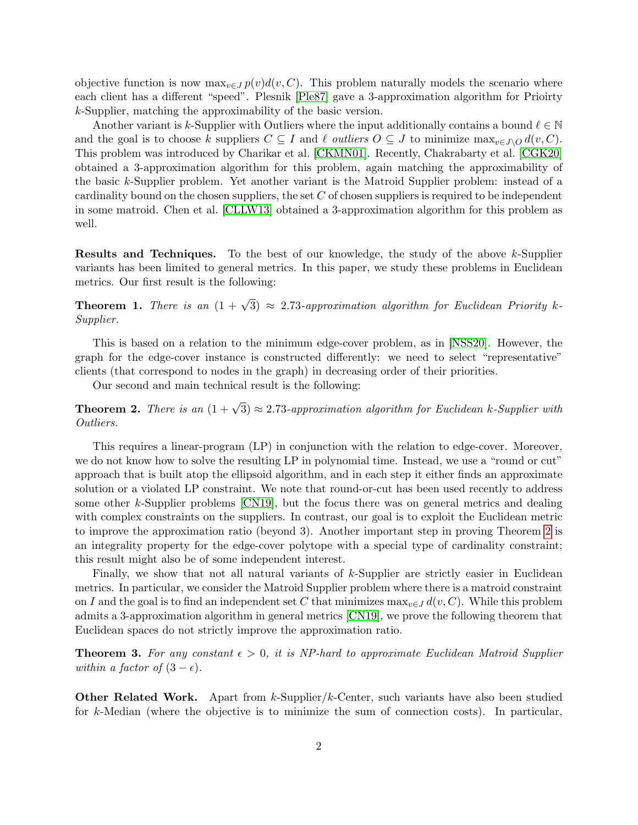objective function is now  $\max_{v \in J} p(v) d(v, C)$ . This problem naturally models the scenario where each client has a different "speed". Plesnik [\[Ple87\]](#page-12-5) gave a 3-approximation algorithm for Prioirty k-Supplier, matching the approximability of the basic version.

Another variant is k-Supplier with Outliers where the input additionally contains a bound  $\ell \in \mathbb{N}$ and the goal is to choose k suppliers  $C \subseteq I$  and  $\ell$  outliers  $O \subseteq J$  to minimize max $_{v \in J\setminus O} d(v, C)$ . This problem was introduced by Charikar et al. [\[CKMN01\]](#page-11-0). Recently, Chakrabarty et al. [\[CGK20\]](#page-11-1) obtained a 3-approximation algorithm for this problem, again matching the approximability of the basic k-Supplier problem. Yet another variant is the Matroid Supplier problem: instead of a cardinality bound on the chosen suppliers, the set  $C$  of chosen suppliers is required to be independent in some matroid. Chen et al. [\[CLLW13\]](#page-11-2) obtained a 3-approximation algorithm for this problem as well.

**Results and Techniques.** To the best of our knowledge, the study of the above k-Supplier variants has been limited to general metrics. In this paper, we study these problems in Euclidean metrics. Our first result is the following:

<span id="page-1-1"></span>**Theorem 1.** There is an  $(1 + \sqrt{3}) \approx 2.73$ -approximation algorithm for Euclidean Priority k-Supplier.

This is based on a relation to the minimum edge-cover problem, as in [\[NSS20\]](#page-12-4). However, the graph for the edge-cover instance is constructed differently: we need to select "representative" clients (that correspond to nodes in the graph) in decreasing order of their priorities.

Our second and main technical result is the following:

<span id="page-1-0"></span>**Theorem 2.** There is an  $(1 + \sqrt{3}) \approx 2.73$ -approximation algorithm for Euclidean k-Supplier with Outliers.

This requires a linear-program (LP) in conjunction with the relation to edge-cover. Moreover, we do not know how to solve the resulting LP in polynomial time. Instead, we use a "round or cut" approach that is built atop the ellipsoid algorithm, and in each step it either finds an approximate solution or a violated LP constraint. We note that round-or-cut has been used recently to address some other k-Supplier problems [\[CN19\]](#page-12-6), but the focus there was on general metrics and dealing with complex constraints on the suppliers. In contrast, our goal is to exploit the Euclidean metric to improve the approximation ratio (beyond 3). Another important step in proving Theorem [2](#page-1-0) is an integrality property for the edge-cover polytope with a special type of cardinality constraint; this result might also be of some independent interest.

Finally, we show that not all natural variants of k-Supplier are strictly easier in Euclidean metrics. In particular, we consider the Matroid Supplier problem where there is a matroid constraint on I and the goal is to find an independent set C that minimizes  $\max_{v \in J} d(v, C)$ . While this problem admits a 3-approximation algorithm in general metrics [\[CN19\]](#page-12-6), we prove the following theorem that Euclidean spaces do not strictly improve the approximation ratio.

<span id="page-1-2"></span>**Theorem 3.** For any constant  $\epsilon > 0$ , it is NP-hard to approximate Euclidean Matroid Supplier within a factor of  $(3 - \epsilon)$ .

**Other Related Work.** Apart from  $k$ -Supplier/ $k$ -Center, such variants have also been studied for k-Median (where the objective is to minimize the sum of connection costs). In particular,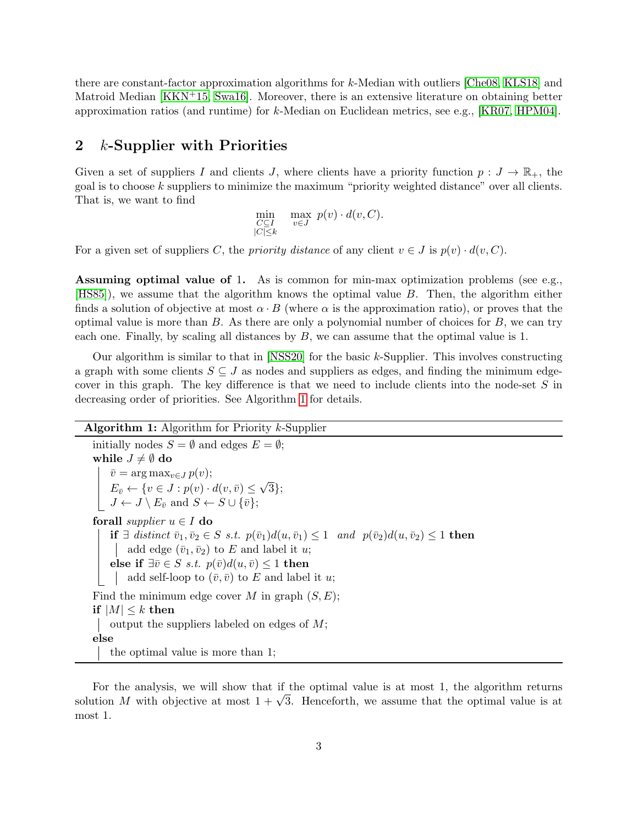there are constant-factor approximation algorithms for k-Median with outliers [\[Che08,](#page-11-3) [KLS18\]](#page-12-7) and Matroid Median [\[KKN](#page-12-8)+15, [Swa16\]](#page-12-9). Moreover, there is an extensive literature on obtaining better approximation ratios (and runtime) for  $k$ -Median on Euclidean metrics, see e.g., [\[KR07,](#page-12-10) [HPM04\]](#page-12-11).

#### 2 k-Supplier with Priorities

Given a set of suppliers I and clients J, where clients have a priority function  $p: J \to \mathbb{R}_+$ , the goal is to choose k suppliers to minimize the maximum "priority weighted distance" over all clients. That is, we want to find

$$
\min_{\substack{C \subseteq I \\ |C| \leq k}} \max_{v \in J} p(v) \cdot d(v, C).
$$

For a given set of suppliers C, the *priority distance* of any client  $v \in J$  is  $p(v) \cdot d(v, C)$ .

Assuming optimal value of 1. As is common for min-max optimization problems (see e.g., [\[HS85\]](#page-12-1)), we assume that the algorithm knows the optimal value B. Then, the algorithm either finds a solution of objective at most  $\alpha \cdot B$  (where  $\alpha$  is the approximation ratio), or proves that the optimal value is more than  $B$ . As there are only a polynomial number of choices for  $B$ , we can try each one. Finally, by scaling all distances by  $B$ , we can assume that the optimal value is 1.

Our algorithm is similar to that in  $[NSS20]$  for the basic k-Supplier. This involves constructing a graph with some clients  $S \subseteq J$  as nodes and suppliers as edges, and finding the minimum edgecover in this graph. The key difference is that we need to include clients into the node-set  $S$  in decreasing order of priorities. See Algorithm [1](#page-2-0) for details.

Algorithm 1: Algorithm for Priority k-Supplier

<span id="page-2-0"></span>initially nodes  $S = \emptyset$  and edges  $E = \emptyset$ ; while  $J \neq \emptyset$  do  $\bar{v} = \arg \max_{v \in J} p(v);$  $E_{\bar{v}} \leftarrow \{v \in J : p(v) \cdot d(v, \bar{v}) \leq$ √ 3};  $J \leftarrow J \setminus E_{\bar{v}} \text{ and } S \leftarrow S \cup {\bar{v}};$ forall *supplier*  $u \in I$  do if ∃ distinct  $\bar{v}_1, \bar{v}_2 \in S$  s.t.  $p(\bar{v}_1)d(u, \bar{v}_1) \leq 1$  and  $p(\bar{v}_2)d(u, \bar{v}_2) \leq 1$  then | add edge  $(\bar{v}_1, \bar{v}_2)$  to E and label it u; else if  $\exists \bar{v} \in S \; s.t. \; p(\bar{v})d(u, \bar{v}) \leq 1$  then add self-loop to  $(\bar{v}, \bar{v})$  to E and label it u; Find the minimum edge cover M in graph  $(S, E)$ ; if  $|M| \leq k$  then | output the suppliers labeled on edges of  $M$ ; else the optimal value is more than 1;

For the analysis, we will show that if the optimal value is at most 1, the algorithm returns For the analysis, we will show that if the optimal value is at most 1, the algorithm returns solution M with objective at most  $1 + \sqrt{3}$ . Henceforth, we assume that the optimal value is at most 1.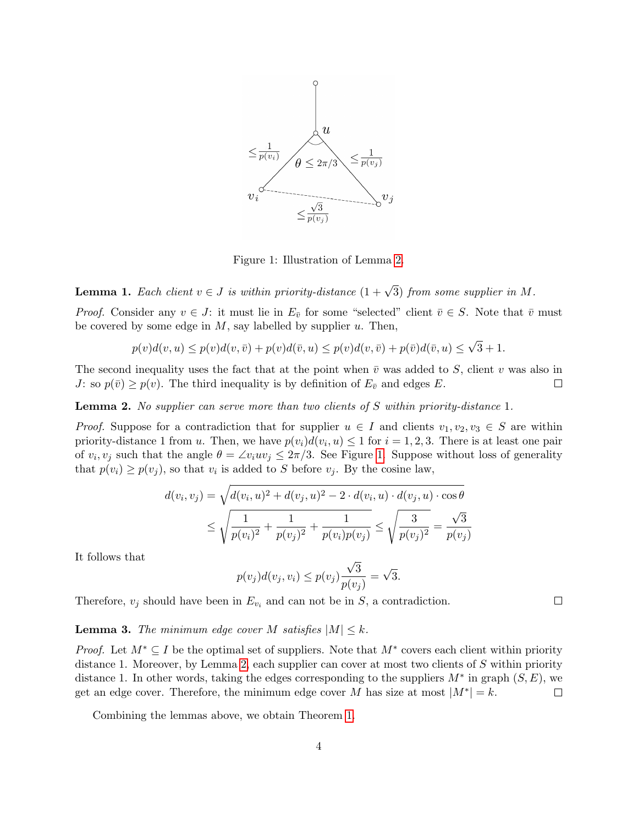

<span id="page-3-1"></span>Figure 1: Illustration of Lemma [2.](#page-3-0)

**Lemma 1.** Each client  $v \in J$  is within priority-distance  $(1 + \sqrt{3})$  from some supplier in M.

*Proof.* Consider any  $v \in J$ : it must lie in  $E_{\bar{v}}$  for some "selected" client  $\bar{v} \in S$ . Note that  $\bar{v}$  must be covered by some edge in  $M$ , say labelled by supplier  $u$ . Then,

$$
p(v)d(v, u) \le p(v)d(v, \overline{v}) + p(v)d(\overline{v}, u) \le p(v)d(v, \overline{v}) + p(\overline{v})d(\overline{v}, u) \le \sqrt{3} + 1.
$$

The second inequality uses the fact that at the point when  $\bar{v}$  was added to S, client v was also in J: so  $p(\bar{v}) \geq p(v)$ . The third inequality is by definition of  $E_{\bar{v}}$  and edges E.  $\Box$ 

<span id="page-3-0"></span>Lemma 2. No supplier can serve more than two clients of S within priority-distance 1.

*Proof.* Suppose for a contradiction that for supplier  $u \in I$  and clients  $v_1, v_2, v_3 \in S$  are within priority-distance 1 from u. Then, we have  $p(v_i)d(v_i, u) \leq 1$  for  $i = 1, 2, 3$ . There is at least one pair of  $v_i, v_j$  such that the angle  $\theta = \angle v_i u v_j \leq 2\pi/3$ . See Figure [1.](#page-3-1) Suppose without loss of generality that  $p(v_i) \geq p(v_j)$ , so that  $v_i$  is added to S before  $v_j$ . By the cosine law,

$$
d(v_i, v_j) = \sqrt{d(v_i, u)^2 + d(v_j, u)^2 - 2 \cdot d(v_i, u) \cdot d(v_j, u) \cdot \cos \theta}
$$
  
 
$$
\leq \sqrt{\frac{1}{p(v_i)^2} + \frac{1}{p(v_j)^2} + \frac{1}{p(v_i)p(v_j)}} \leq \sqrt{\frac{3}{p(v_j)^2}} = \frac{\sqrt{3}}{p(v_j)}
$$

It follows that

$$
p(v_j)d(v_j, v_i) \le p(v_j)\frac{\sqrt{3}}{p(v_j)} = \sqrt{3}.
$$

Therefore,  $v_j$  should have been in  $E_{v_i}$  and can not be in S, a contradiction.

**Lemma 3.** The minimum edge cover M satisfies  $|M| \leq k$ .

*Proof.* Let  $M^* \subseteq I$  be the optimal set of suppliers. Note that  $M^*$  covers each client within priority distance 1. Moreover, by Lemma [2,](#page-3-0) each supplier can cover at most two clients of S within priority distance 1. In other words, taking the edges corresponding to the suppliers  $M^*$  in graph  $(S, E)$ , we get an edge cover. Therefore, the minimum edge cover M has size at most  $|M^*| = k$ .  $\Box$ 

Combining the lemmas above, we obtain Theorem [1.](#page-1-1)

 $\Box$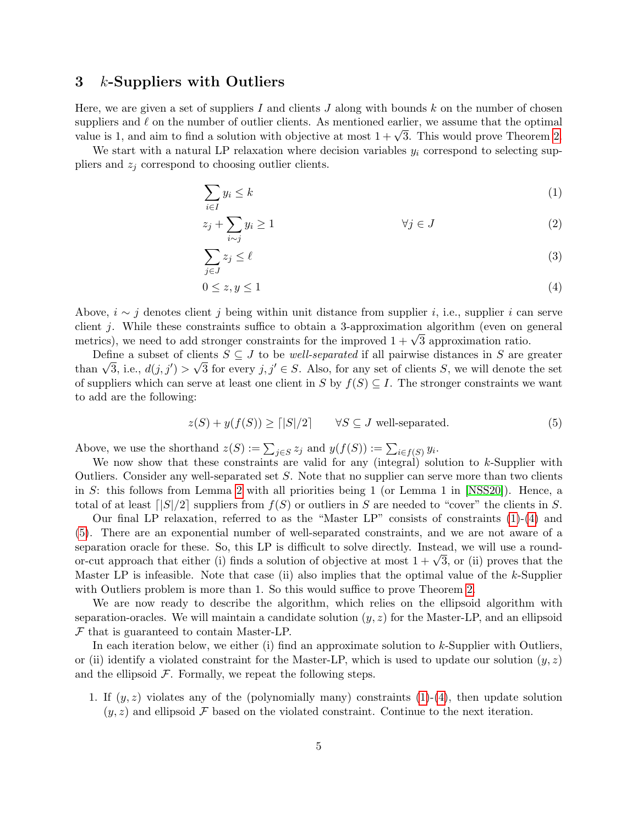#### 3 k-Suppliers with Outliers

Here, we are given a set of suppliers I and clients  $J$  along with bounds  $k$  on the number of chosen suppliers and  $\ell$  on the number of outlier clients. As mentioned earlier, we assume that the optimal supphers and  $\ell$  on the number of outher chemis. As mentioned earlier, we assume that the optimal value is 1, and aim to find a solution with objective at most  $1 + \sqrt{3}$ . This would prove Theorem [2.](#page-1-0)

We start with a natural LP relaxation where decision variables  $y_i$  correspond to selecting suppliers and  $z_i$  correspond to choosing outlier clients.

<span id="page-4-0"></span>
$$
\sum_{i \in I} y_i \le k \tag{1}
$$

$$
z_j + \sum_{i \sim j} y_i \ge 1 \qquad \qquad \forall j \in J \tag{2}
$$

<span id="page-4-3"></span><span id="page-4-1"></span>
$$
\sum_{j \in J} z_j \le \ell \tag{3}
$$

$$
0 \le z, y \le 1 \tag{4}
$$

Above,  $i \sim j$  denotes client j being within unit distance from supplier i, i.e., supplier i can serve client j. While these constraints suffice to obtain a 3-approximation algorithm (even on general enem *j*. While these constraints sunce to obtain a 3-approximation algorithm (even on genetrics), we need to add stronger constraints for the improved  $1 + \sqrt{3}$  approximation ratio.

Define a subset of clients  $S \subseteq J$  to be *well-separated* if all pairwise distances in S are greater Define a subset of clients  $S \subseteq J$  to be *well-separated* if all pairwise distances in S are greater than  $\sqrt{3}$ , i.e.,  $d(j, j') > \sqrt{3}$  for every  $j, j' \in S$ . Also, for any set of clients S, we will denote the set of suppliers which can serve at least one client in S by  $f(S) \subseteq I$ . The stronger constraints we want to add are the following:

<span id="page-4-2"></span>
$$
z(S) + y(f(S)) \ge \lfloor |S|/2 \rfloor \qquad \forall S \subseteq J \text{ well-separated.} \tag{5}
$$

Above, we use the shorthand  $z(S) := \sum_{j \in S} z_j$  and  $y(f(S)) := \sum_{i \in f(S)} y_i$ .

We now show that these constraints are valid for any (integral) solution to k-Supplier with Outliers. Consider any well-separated set S. Note that no supplier can serve more than two clients in S: this follows from Lemma [2](#page-3-0) with all priorities being 1 (or Lemma 1 in [\[NSS20\]](#page-12-4)). Hence, a total of at least  $\lceil |S|/2 \rceil$  suppliers from  $f(S)$  or outliers in S are needed to "cover" the clients in S.

Our final LP relaxation, referred to as the "Master LP" consists of constraints [\(1\)](#page-4-0)-[\(4\)](#page-4-1) and [\(5\)](#page-4-2). There are an exponential number of well-separated constraints, and we are not aware of a separation oracle for these. So, this LP is difficult to solve directly. Instead, we will use a roundseparation oracle for these. So, this LP is difficult to solve directly. Instead, we will use a round-<br>or-cut approach that either (i) finds a solution of objective at most  $1 + \sqrt{3}$ , or (ii) proves that the Master LP is infeasible. Note that case (ii) also implies that the optimal value of the  $k$ -Supplier with Outliers problem is more than 1. So this would suffice to prove Theorem [2.](#page-1-0)

We are now ready to describe the algorithm, which relies on the ellipsoid algorithm with separation-oracles. We will maintain a candidate solution  $(y, z)$  for the Master-LP, and an ellipsoid F that is guaranteed to contain Master-LP.

In each iteration below, we either (i) find an approximate solution to  $k$ -Supplier with Outliers, or (ii) identify a violated constraint for the Master-LP, which is used to update our solution  $(y, z)$ and the ellipsoid  $F$ . Formally, we repeat the following steps.

1. If  $(y, z)$  violates any of the (polynomially many) constraints  $(1)-(4)$  $(1)-(4)$  $(1)-(4)$ , then update solution  $(y, z)$  and ellipsoid F based on the violated constraint. Continue to the next iteration.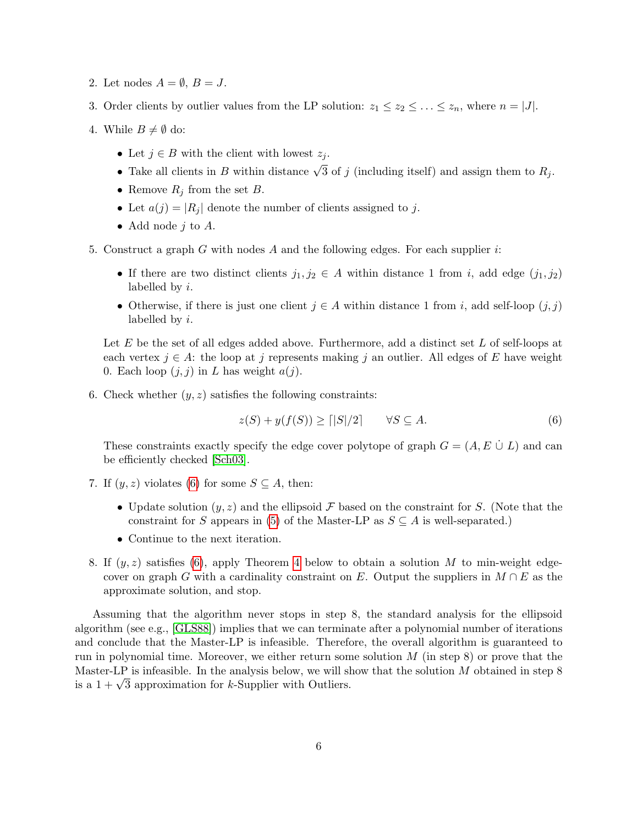- 2. Let nodes  $A = \emptyset$ ,  $B = J$ .
- 3. Order clients by outlier values from the LP solution:  $z_1 \leq z_2 \leq \ldots \leq z_n$ , where  $n = |J|$ .
- 4. While  $B\neq \emptyset$  do:
	- Let  $j \in B$  with the client with lowest  $z_j$ .
	- Take all clients in B within distance  $\sqrt{3}$  of j (including itself) and assign them to  $R_j$ .
	- Remove  $R_i$  from the set  $B$ .
	- Let  $a(j) = |R_j|$  denote the number of clients assigned to j.
	- Add node  $j$  to  $A$ .
- 5. Construct a graph G with nodes A and the following edges. For each supplier  $i$ :
	- If there are two distinct clients  $j_1, j_2 \in A$  within distance 1 from i, add edge  $(j_1, j_2)$ labelled by i.
	- Otherwise, if there is just one client  $j \in A$  within distance 1 from i, add self-loop  $(j, j)$ labelled by i.

Let  $E$  be the set of all edges added above. Furthermore, add a distinct set  $L$  of self-loops at each vertex  $j \in A$ : the loop at j represents making j an outlier. All edges of E have weight 0. Each loop  $(j, j)$  in L has weight  $a(j)$ .

6. Check whether  $(y, z)$  satisfies the following constraints:

<span id="page-5-0"></span>
$$
z(S) + y(f(S)) \ge \lfloor |S|/2 \rfloor \qquad \forall S \subseteq A. \tag{6}
$$

These constraints exactly specify the edge cover polytope of graph  $G = (A, E \cup L)$  and can be efficiently checked [\[Sch03\]](#page-12-12).

- 7. If  $(y, z)$  violates [\(6\)](#page-5-0) for some  $S \subseteq A$ , then:
	- Update solution  $(y, z)$  and the ellipsoid F based on the constraint for S. (Note that the constraint for S appears in [\(5\)](#page-4-2) of the Master-LP as  $S \subseteq A$  is well-separated.)
	- Continue to the next iteration.
- 8. If  $(y, z)$  satisfies [\(6\)](#page-5-0), apply Theorem [4](#page-6-0) below to obtain a solution M to min-weight edgecover on graph G with a cardinality constraint on E. Output the suppliers in  $M \cap E$  as the approximate solution, and stop.

Assuming that the algorithm never stops in step 8, the standard analysis for the ellipsoid algorithm (see e.g., [\[GLS88\]](#page-12-13)) implies that we can terminate after a polynomial number of iterations and conclude that the Master-LP is infeasible. Therefore, the overall algorithm is guaranteed to run in polynomial time. Moreover, we either return some solution  $M$  (in step 8) or prove that the Master-LP is infeasible. In the analysis below, we will show that the solution  $M$  obtained in step 8 master-LP is infeasible. In the analysis below, we will si<br>is a  $1 + \sqrt{3}$  approximation for k-Supplier with Outliers.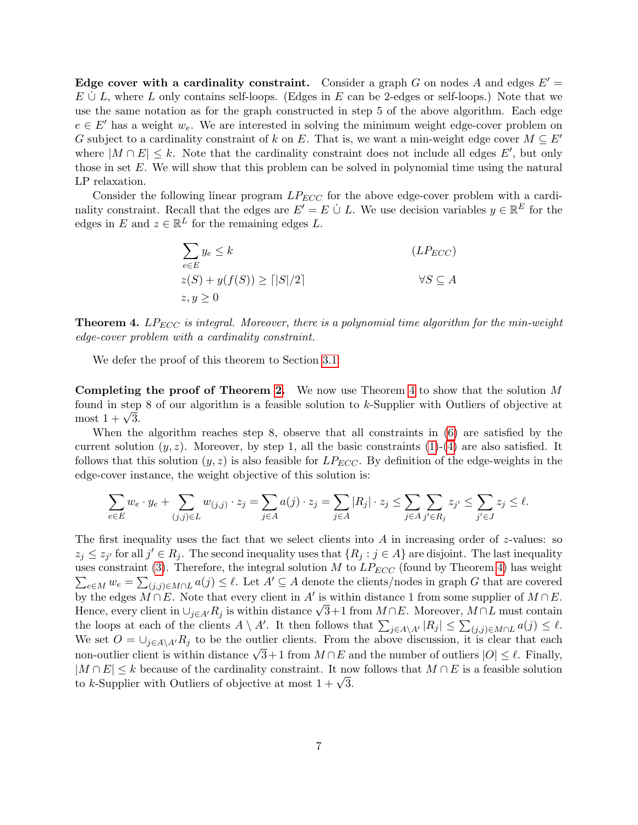Edge cover with a cardinality constraint. Consider a graph G on nodes A and edges  $E' =$  $E \cup L$ , where L only contains self-loops. (Edges in E can be 2-edges or self-loops.) Note that we use the same notation as for the graph constructed in step 5 of the above algorithm. Each edge  $e \in E'$  has a weight  $w_e$ . We are interested in solving the minimum weight edge-cover problem on G subject to a cardinality constraint of k on E. That is, we want a min-weight edge cover  $M \subseteq E'$ where  $|M \cap E| \leq k$ . Note that the cardinality constraint does not include all edges E', but only those in set E. We will show that this problem can be solved in polynomial time using the natural LP relaxation.

Consider the following linear program  $LP_{ECC}$  for the above edge-cover problem with a cardinality constraint. Recall that the edges are  $E' = E \cup L$ . We use decision variables  $y \in \mathbb{R}^E$  for the edges in E and  $z \in \mathbb{R}^L$  for the remaining edges L.

$$
\sum_{e \in E} y_e \le k \qquad (LP_{ECC})
$$
  
 
$$
z(S) + y(f(S)) \ge \lfloor |S|/2 \rfloor \qquad \forall S \subseteq A
$$
  
 
$$
z, y \ge 0
$$

<span id="page-6-0"></span>**Theorem 4.** LP<sub>ECC</sub> is integral. Moreover, there is a polynomial time algorithm for the min-weight edge-cover problem with a cardinality constraint.

We defer the proof of this theorem to Section [3.1.](#page-7-0)

Completing the proof of Theorem [2.](#page-1-0) We now use Theorem [4](#page-6-0) to show that the solution M found in step 8 of our algorithm is a feasible solution to k-Supplier with Outliers of objective at round in step<br>most  $1 + \sqrt{3}$ .

When the algorithm reaches step 8, observe that all constraints in [\(6\)](#page-5-0) are satisfied by the current solution  $(y, z)$ . Moreover, by step 1, all the basic constraints [\(1\)](#page-4-0)-[\(4\)](#page-4-1) are also satisfied. It follows that this solution  $(y, z)$  is also feasible for  $LP_{ECC}$ . By definition of the edge-weights in the edge-cover instance, the weight objective of this solution is:

$$
\sum_{e\in E}w_e\cdot y_e+\sum_{(j,j)\in L}w_{(j,j)}\cdot z_j=\sum_{j\in A}a(j)\cdot z_j=\sum_{j\in A}|R_j|\cdot z_j\leq \sum_{j\in A}\sum_{j'\in R_j}z_{j'}\leq \sum_{j'\in J}z_j\leq \ell.
$$

The first inequality uses the fact that we select clients into A in increasing order of  $z$ -values: so  $z_j \leq z_{j'}$  for all  $j' \in R_j$ . The second inequality uses that  $\{R_j : j \in A\}$  are disjoint. The last inequality uses constraint [\(3\)](#page-4-3). Therefore, the integral solution M to  $LP_{ECC}$  (found by Theorem [4\)](#page-6-0) has weight  $\sum_{e \in M} w_e = \sum_{(j,j) \in M \cap L} a(j) \leq \ell$ . Let  $A' \subseteq A$  denote the clients/nodes in graph G that are covered by the edges  $\tilde{M \cap E}$ . Note that every client in A' is within distance 1 from some supplier of  $M \cap E$ . by the edges  $M \cap E$ . Note that every chent in A is within distance 1 from some supplier of  $M \cap E$ .<br>Hence, every client in  $\cup_{j \in A'} R_j$  is within distance  $\sqrt{3}+1$  from  $M \cap E$ . Moreover,  $M \cap L$  must contain the loops at each of the clients  $A \setminus A'$ . It then follows that  $\sum_{j \in A \setminus A'} |R_j| \leq \sum_{(j,j) \in M \cap L} a(j) \leq \ell$ . We set  $O = \bigcup_{j \in A\setminus A'} R_j$  to be the outlier clients. From the above discussion, it is clear that each non-outlier client is within distance  $\sqrt{3}+1$  from  $M \cap E$  and the number of outliers  $|O| \leq \ell$ . Finally,  $|M \cap E| \leq k$  because of the cardinality constraint. It now follows that  $M \cap E$  is a feasible solution  $\lfloor M + E \rfloor \leq \kappa$  because of the cardinality constraint. It hose to k-Supplier with Outliers of objective at most  $1 + \sqrt{3}$ .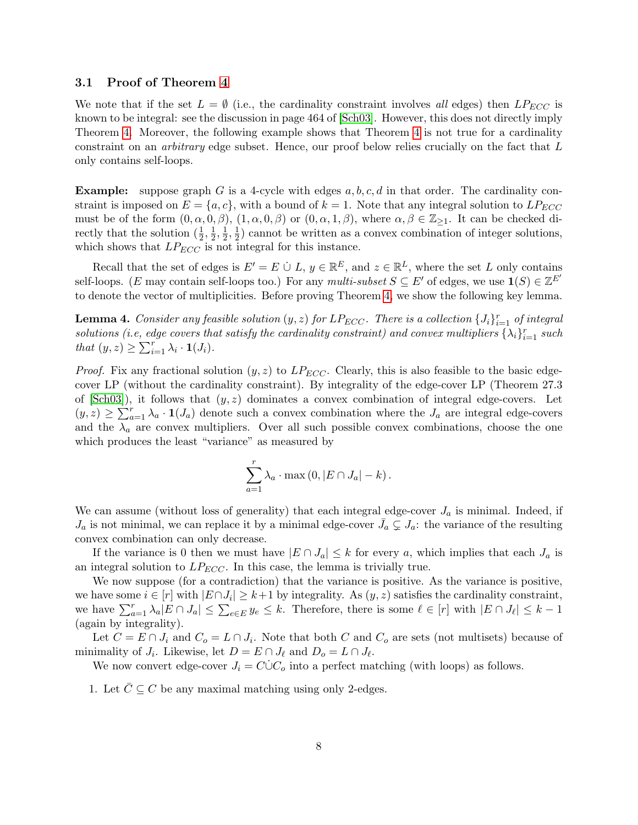#### <span id="page-7-0"></span>3.1 Proof of Theorem [4](#page-6-0)

We note that if the set  $L = \emptyset$  (i.e., the cardinality constraint involves all edges) then  $LP_{ECC}$  is known to be integral: see the discussion in page 464 of [\[Sch03\]](#page-12-12). However, this does not directly imply Theorem [4.](#page-6-0) Moreover, the following example shows that Theorem [4](#page-6-0) is not true for a cardinality constraint on an arbitrary edge subset. Hence, our proof below relies crucially on the fact that L only contains self-loops.

**Example:** suppose graph G is a 4-cycle with edges  $a, b, c, d$  in that order. The cardinality constraint is imposed on  $E = \{a, c\}$ , with a bound of  $k = 1$ . Note that any integral solution to  $LP_{ECC}$ must be of the form  $(0, \alpha, 0, \beta)$ ,  $(1, \alpha, 0, \beta)$  or  $(0, \alpha, 1, \beta)$ , where  $\alpha, \beta \in \mathbb{Z}_{\geq 1}$ . It can be checked directly that the solution  $(\frac{1}{2}, \frac{1}{2})$  $\frac{1}{2}, \frac{1}{2}$  $\frac{1}{2}, \frac{1}{2}$  $\frac{1}{2}$ ) cannot be written as a convex combination of integer solutions, which shows that  $LP_{ECC}$  is not integral for this instance.

Recall that the set of edges is  $E' = E \cup L$ ,  $y \in \mathbb{R}^E$ , and  $z \in \mathbb{R}^L$ , where the set L only contains self-loops. (E may contain self-loops too.) For any multi-subset  $S \subseteq E'$  of edges, we use  $\mathbf{1}(S) \in \mathbb{Z}^{E'}$ to denote the vector of multiplicities. Before proving Theorem [4,](#page-6-0) we show the following key lemma.

<span id="page-7-1"></span>**Lemma 4.** Consider any feasible solution  $(y, z)$  for  $LP_{ECC}$ . There is a collection  $\{J_i\}_{i=1}^r$  of integral solutions (i.e, edge covers that satisfy the cardinality constraint) and convex multipliers  $\{\lambda_i\}_{i=1}^r$  such that  $(y, z) \geq \sum_{i=1}^r \lambda_i \cdot \mathbf{1}(J_i)$ .

*Proof.* Fix any fractional solution  $(y, z)$  to  $LP_{ECC}$ . Clearly, this is also feasible to the basic edgecover LP (without the cardinality constraint). By integrality of the edge-cover LP (Theorem 27.3 of  $[Sch03]$ , it follows that  $(y, z)$  dominates a convex combination of integral edge-covers. Let  $(y, z) \geq \sum_{a=1}^{r} \lambda_a \cdot \mathbf{1}(J_a)$  denote such a convex combination where the  $J_a$  are integral edge-covers and the  $\lambda_a$  are convex multipliers. Over all such possible convex combinations, choose the one which produces the least "variance" as measured by

$$
\sum_{a=1}^r \lambda_a \cdot \max(0, |E \cap J_a| - k).
$$

We can assume (without loss of generality) that each integral edge-cover  $J_a$  is minimal. Indeed, if  $J_a$  is not minimal, we can replace it by a minimal edge-cover  $\bar{J}_a \subsetneq J_a$ : the variance of the resulting convex combination can only decrease.

If the variance is 0 then we must have  $|E \cap J_a| \leq k$  for every a, which implies that each  $J_a$  is an integral solution to  $LP_{ECC}$ . In this case, the lemma is trivially true.

We now suppose (for a contradiction) that the variance is positive. As the variance is positive, we have some  $i \in [r]$  with  $|E \cap J_i| \geq k+1$  by integrality. As  $(y, z)$  satisfies the cardinality constraint, we have  $\sum_{a=1}^r \lambda_a |E \cap J_a| \leq \sum_{e \in E} y_e \leq k$ . Therefore, there is some  $\ell \in [r]$  with  $|E \cap J_\ell| \leq k-1$ (again by integrality).

Let  $C = E \cap J_i$  and  $C_o = L \cap J_i$ . Note that both C and  $C_o$  are sets (not multisets) because of minimality of  $J_i$ . Likewise, let  $D = E \cap J_\ell$  and  $D_o = L \cap J_\ell$ .

We now convert edge-cover  $J_i = C\dot{\cup}C_o$  into a perfect matching (with loops) as follows.

1. Let  $\overline{C} \subseteq C$  be any maximal matching using only 2-edges.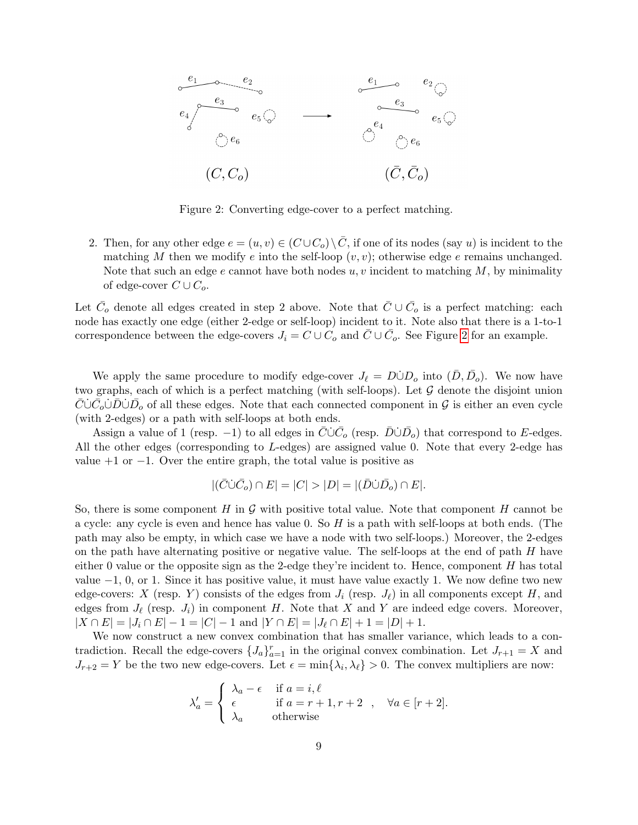

<span id="page-8-0"></span>Figure 2: Converting edge-cover to a perfect matching.

2. Then, for any other edge  $e = (u, v) \in (C \cup C_0) \setminus \overline{C}$ , if one of its nodes (say u) is incident to the matching M then we modify e into the self-loop  $(v, v)$ ; otherwise edge e remains unchanged. Note that such an edge e cannot have both nodes  $u, v$  incident to matching M, by minimality of edge-cover  $C \cup C_o$ .

Let  $\bar{C}_o$  denote all edges created in step 2 above. Note that  $\bar{C} \cup \bar{C}_o$  is a perfect matching: each node has exactly one edge (either 2-edge or self-loop) incident to it. Note also that there is a 1-to-1 correspondence between the edge-covers  $J_i = C \cup C_o$  and  $\overline{C} \cup \overline{C}_o$ . See Figure [2](#page-8-0) for an example.

We apply the same procedure to modify edge-cover  $J_{\ell} = D \dot{\cup} D_{o}$  into  $(\bar{D}, \bar{D}_{o})$ . We now have two graphs, each of which is a perfect matching (with self-loops). Let  $\mathcal G$  denote the disjoint union  $\bar{C}$ ∪ $\bar{C}_o$ ∪ $\bar{D}$ ∪ $\bar{D}_o$  of all these edges. Note that each connected component in  $\mathcal G$  is either an even cycle (with 2-edges) or a path with self-loops at both ends.

Assign a value of 1 (resp. -1) to all edges in  $\overline{C}\dot{\cup}\overline{C}_o$  (resp.  $\overline{D}\dot{\cup}\overline{D}_o$ ) that correspond to E-edges. All the other edges (corresponding to L-edges) are assigned value 0. Note that every 2-edge has value  $+1$  or  $-1$ . Over the entire graph, the total value is positive as

$$
|(\bar{C}\dot{\cup}\bar{C}_o)\cap E|=|C|>|D|=|(\bar{D}\dot{\cup}\bar{D}_o)\cap E|.
$$

So, there is some component H in  $\mathcal G$  with positive total value. Note that component H cannot be a cycle: any cycle is even and hence has value 0. So  $H$  is a path with self-loops at both ends. (The path may also be empty, in which case we have a node with two self-loops.) Moreover, the 2-edges on the path have alternating positive or negative value. The self-loops at the end of path  $H$  have either 0 value or the opposite sign as the 2-edge they're incident to. Hence, component  $H$  has total value  $-1$ , 0, or 1. Since it has positive value, it must have value exactly 1. We now define two new edge-covers: X (resp. Y) consists of the edges from  $J_i$  (resp.  $J_\ell$ ) in all components except H, and edges from  $J_{\ell}$  (resp.  $J_i$ ) in component H. Note that X and Y are indeed edge covers. Moreover,  $|X \cap E| = |J_i \cap E| - 1 = |C| - 1$  and  $|Y \cap E| = |J_\ell \cap E| + 1 = |D| + 1$ .

We now construct a new convex combination that has smaller variance, which leads to a contradiction. Recall the edge-covers  $\{J_a\}_{a=1}^r$  in the original convex combination. Let  $J_{r+1} = X$  and  $J_{r+2} = Y$  be the two new edge-covers. Let  $\epsilon = \min\{\lambda_i, \lambda_\ell\} > 0$ . The convex multipliers are now:

$$
\lambda'_a = \begin{cases}\n\lambda_a - \epsilon & \text{if } a = i, \ell \\
\epsilon & \text{if } a = r + 1, r + 2 \\
\lambda_a & \text{otherwise}\n\end{cases}, \quad \forall a \in [r + 2].
$$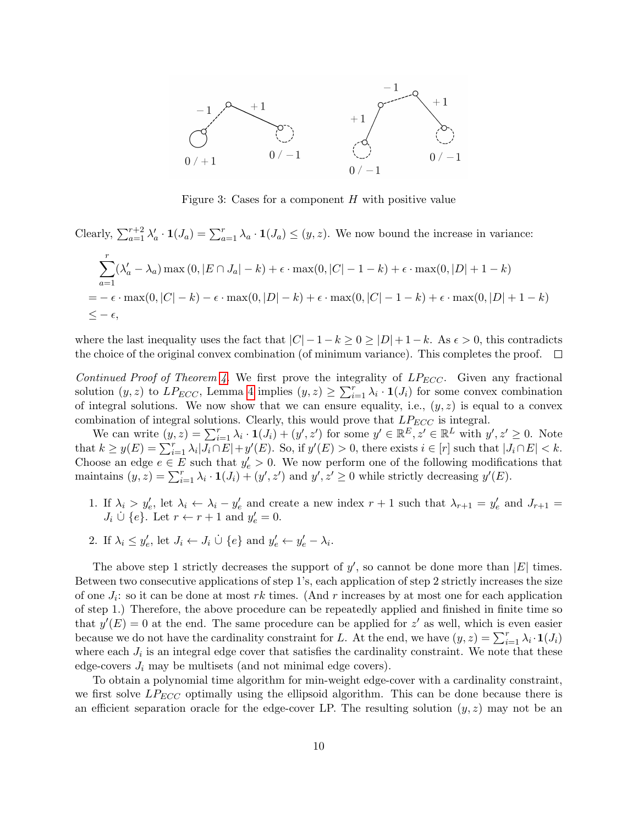

Figure 3: Cases for a component  $H$  with positive value

Clearly, 
$$
\sum_{a=1}^{r+2} \lambda'_a \cdot \mathbf{1}(J_a) = \sum_{a=1}^{r} \lambda_a \cdot \mathbf{1}(J_a) \le (y, z)
$$
. We now bound the increase in variance:  
\n
$$
\sum_{a=1}^{r} (\lambda'_a - \lambda_a) \max(0, |E \cap J_a| - k) + \epsilon \cdot \max(0, |C| - 1 - k) + \epsilon \cdot \max(0, |D| + 1 - k)
$$
\n
$$
= -\epsilon \cdot \max(0, |C| - k) - \epsilon \cdot \max(0, |D| - k) + \epsilon \cdot \max(0, |C| - 1 - k) + \epsilon \cdot \max(0, |D| + 1 - k)
$$
\n
$$
\le -\epsilon,
$$

where the last inequality uses the fact that  $|C| - 1 - k \ge 0 \ge |D| + 1 - k$ . As  $\epsilon > 0$ , this contradicts the choice of the original convex combination (of minimum variance). This completes the proof.  $\Box$ 

Continued Proof of Theorem [4.](#page-6-0) We first prove the integrality of  $LP_{ECC}$ . Given any fractional solution  $(y, z)$  to  $LP_{ECC}$ , Lemma [4](#page-7-1) implies  $(y, z) \ge \sum_{i=1}^{r} \lambda_i \cdot \mathbf{1}(J_i)$  for some convex combination of integral solutions. We now show that we can ensure equality, i.e.,  $(y, z)$  is equal to a convex combination of integral solutions. Clearly, this would prove that  $LP_{ECC}$  is integral.

We can write  $(y, z) = \sum_{i=1}^r \lambda_i \cdot \mathbf{1}(J_i) + (y', z')$  for some  $y' \in \mathbb{R}^E, z' \in \mathbb{R}^L$  with  $y', z' \geq 0$ . Note that  $k \geq y(E) = \sum_{i=1}^{r} \lambda_i |J_i \cap E| + y'(E)$ . So, if  $y'(E) > 0$ , there exists  $i \in [r]$  such that  $|J_i \cap E| < k$ . Choose an edge  $e \in E$  such that  $y'_e > 0$ . We now perform one of the following modifications that maintains  $(y, z) = \sum_{i=1}^r \lambda_i \cdot \mathbf{1}(J_i) + (y', z')$  and  $y', z' \ge 0$  while strictly decreasing  $y'(E)$ .

- 1. If  $\lambda_i > y'_e$ , let  $\lambda_i \leftarrow \lambda_i y'_e$  and create a new index  $r + 1$  such that  $\lambda_{r+1} = y'_e$  and  $J_{r+1} =$  $J_i \dot{\cup} \{e\}$ . Let  $r \leftarrow r + 1$  and  $y'_e = 0$ .
- 2. If  $\lambda_i \leq y'_e$ , let  $J_i \leftarrow J_i \cup \{e\}$  and  $y'_e \leftarrow y'_e \lambda_i$ .

The above step 1 strictly decreases the support of  $y'$ , so cannot be done more than  $|E|$  times. Between two consecutive applications of step 1's, each application of step 2 strictly increases the size of one  $J_i$ : so it can be done at most rk times. (And r increases by at most one for each application of step 1.) Therefore, the above procedure can be repeatedly applied and finished in finite time so that  $y'(E) = 0$  at the end. The same procedure can be applied for z' as well, which is even easier because we do not have the cardinality constraint for L. At the end, we have  $(y, z) = \sum_{i=1}^{r} \lambda_i \cdot \mathbf{1}(J_i)$ where each  $J_i$  is an integral edge cover that satisfies the cardinality constraint. We note that these edge-covers  $J_i$  may be multisets (and not minimal edge covers).

To obtain a polynomial time algorithm for min-weight edge-cover with a cardinality constraint, we first solve  $LP_{ECC}$  optimally using the ellipsoid algorithm. This can be done because there is an efficient separation oracle for the edge-cover LP. The resulting solution  $(y, z)$  may not be an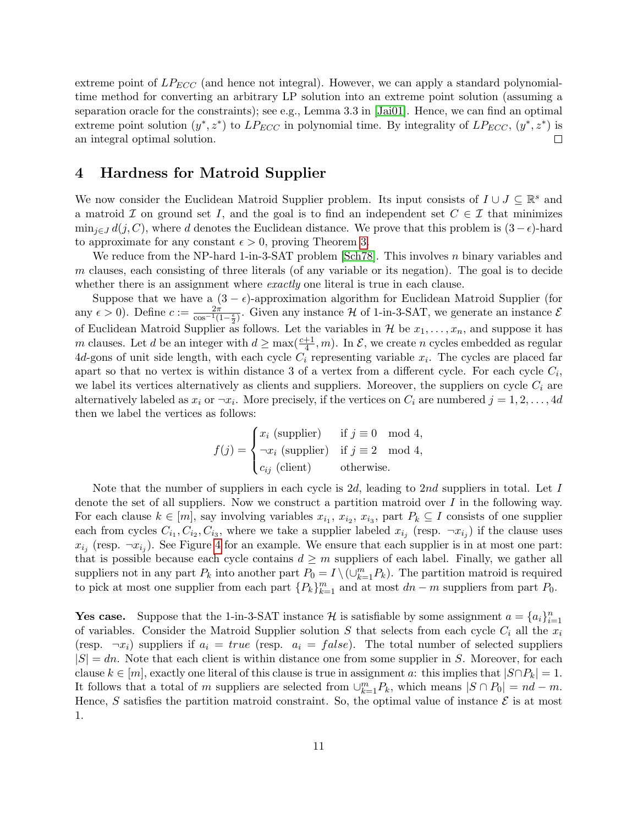extreme point of  $LP_{ECC}$  (and hence not integral). However, we can apply a standard polynomialtime method for converting an arbitrary LP solution into an extreme point solution (assuming a separation oracle for the constraints); see e.g., Lemma 3.3 in [\[Jai01\]](#page-12-14). Hence, we can find an optimal extreme point solution  $(y^*, z^*)$  to  $LP_{ECC}$  in polynomial time. By integrality of  $LP_{ECC}$ ,  $(y^*, z^*)$  is  $\Box$ an integral optimal solution.

## 4 Hardness for Matroid Supplier

We now consider the Euclidean Matroid Supplier problem. Its input consists of  $I \cup J \subseteq \mathbb{R}^s$  and a matroid  $\mathcal I$  on ground set I, and the goal is to find an independent set  $C \in \mathcal I$  that minimizes  $\min_{j\in J} d(j, C)$ , where d denotes the Euclidean distance. We prove that this problem is  $(3 - \epsilon)$ -hard to approximate for any constant  $\epsilon > 0$ , proving Theorem [3.](#page-1-2)

We reduce from the NP-hard 1-in-3-SAT problem [\[Sch78\]](#page-12-15). This involves n binary variables and m clauses, each consisting of three literals (of any variable or its negation). The goal is to decide whether there is an assignment where *exactly* one literal is true in each clause.

Suppose that we have a  $(3 - \epsilon)$ -approximation algorithm for Euclidean Matroid Supplier (for any  $\epsilon > 0$ ). Define  $c := \frac{2\pi}{\cos^{-1}(1-\frac{\epsilon}{2})}$ . Given any instance H of 1-in-3-SAT, we generate an instance E of Euclidean Matroid Supplier as follows. Let the variables in  $\mathcal H$  be  $x_1, \ldots, x_n$ , and suppose it has m clauses. Let d be an integer with  $d \ge \max(\frac{c+1}{4}, m)$ . In  $\mathcal{E}$ , we create n cycles embedded as regular  $4d$ -gons of unit side length, with each cycle  $C_i$  representing variable  $x_i$ . The cycles are placed far apart so that no vertex is within distance 3 of a vertex from a different cycle. For each cycle  $C_i$ , we label its vertices alternatively as clients and suppliers. Moreover, the suppliers on cycle  $C_i$  are alternatively labeled as  $x_i$  or  $\neg x_i$ . More precisely, if the vertices on  $C_i$  are numbered  $j = 1, 2, \ldots, 4d$ then we label the vertices as follows:

$$
f(j) = \begin{cases} x_i \text{ (supplier)} & \text{if } j \equiv 0 \mod 4, \\ \neg x_i \text{ (supplier)} & \text{if } j \equiv 2 \mod 4, \\ c_{ij} \text{ (client)} & \text{otherwise.} \end{cases}
$$

Note that the number of suppliers in each cycle is 2d, leading to 2nd suppliers in total. Let  $I$ denote the set of all suppliers. Now we construct a partition matroid over I in the following way. For each clause  $k \in [m]$ , say involving variables  $x_{i_1}, x_{i_2}, x_{i_3}$ , part  $P_k \subseteq I$  consists of one supplier each from cycles  $C_{i_1}, C_{i_2}, C_{i_3}$ , where we take a supplier labeled  $x_{i_j}$  (resp.  $\neg x_{i_j}$ ) if the clause uses  $x_{i_j}$  (resp.  $\neg x_{i_j}$ ). See Figure [4](#page-11-4) for an example. We ensure that each supplier is in at most one part: that is possible because each cycle contains  $d \geq m$  suppliers of each label. Finally, we gather all suppliers not in any part  $P_k$  into another part  $P_0 = I \setminus (\cup_{k=1}^m P_k)$ . The partition matroid is required to pick at most one supplier from each part  ${P_k}_{k=1}^m$  and at most  $dn - m$  suppliers from part  $P_0$ .

**Yes case.** Suppose that the 1-in-3-SAT instance H is satisfiable by some assignment  $a = \{a_i\}_{i=1}^n$ of variables. Consider the Matroid Supplier solution S that selects from each cycle  $C_i$  all the  $x_i$ (resp.  $\neg x_i$ ) suppliers if  $a_i = true$  (resp.  $a_i = false$ ). The total number of selected suppliers  $|S| = dn$ . Note that each client is within distance one from some supplier in S. Moreover, for each clause  $k \in [m]$ , exactly one literal of this clause is true in assignment a: this implies that  $|S \cap P_k| = 1$ . It follows that a total of m suppliers are selected from  $\cup_{k=1}^{m} P_k$ , which means  $|S \cap P_0| = nd - m$ . Hence, S satisfies the partition matroid constraint. So, the optimal value of instance  $\mathcal E$  is at most 1.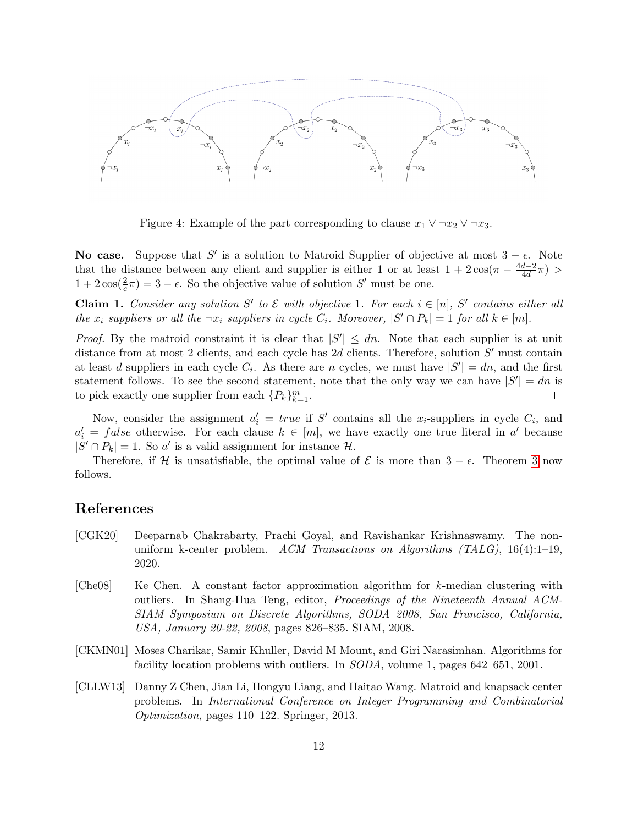

<span id="page-11-4"></span>Figure 4: Example of the part corresponding to clause  $x_1 \vee \neg x_2 \vee \neg x_3$ .

**No case.** Suppose that S' is a solution to Matroid Supplier of objective at most  $3 - \epsilon$ . Note that the distance between any client and supplier is either 1 or at least  $1 + 2\cos(\pi - \frac{4d-2}{4d})$  $\frac{d-2}{4d}\pi) >$  $1 + 2\cos(\frac{2}{c}\pi) = 3 - \epsilon$ . So the objective value of solution S' must be one.

**Claim 1.** Consider any solution S' to  $\mathcal{E}$  with objective 1. For each  $i \in [n]$ , S' contains either all the  $x_i$  suppliers or all the  $\neg x_i$  suppliers in cycle  $C_i$ . Moreover,  $|S' \cap P_k| = 1$  for all  $k \in [m]$ .

*Proof.* By the matroid constraint it is clear that  $|S'| \leq dn$ . Note that each supplier is at unit distance from at most 2 clients, and each cycle has  $2d$  clients. Therefore, solution  $S'$  must contain at least d suppliers in each cycle  $C_i$ . As there are n cycles, we must have  $|S'| = dn$ , and the first statement follows. To see the second statement, note that the only way we can have  $|S'| = dn$  is to pick exactly one supplier from each  $\{P_k\}_{k=1}^m$ .  $\Box$ 

Now, consider the assignment  $a'_i = true$  if S' contains all the x<sub>i</sub>-suppliers in cycle  $C_i$ , and  $a'_i = false$  otherwise. For each clause  $k \in [m]$ , we have exactly one true literal in a' because  $|S' \cap P_k| = 1$ . So a' is a valid assignment for instance  $\mathcal{H}$ .

Therefore, if H is unsatisfiable, the optimal value of  $\mathcal E$  is more than  $3 - \epsilon$ . Theorem [3](#page-1-2) now follows.

#### References

- <span id="page-11-1"></span>[CGK20] Deeparnab Chakrabarty, Prachi Goyal, and Ravishankar Krishnaswamy. The nonuniform k-center problem. ACM Transactions on Algorithms (TALG), 16(4):1-19, 2020.
- <span id="page-11-3"></span> $[Che08]$  Ke Chen. A constant factor approximation algorithm for k-median clustering with outliers. In Shang-Hua Teng, editor, Proceedings of the Nineteenth Annual ACM-SIAM Symposium on Discrete Algorithms, SODA 2008, San Francisco, California, USA, January 20-22, 2008, pages 826–835. SIAM, 2008.
- <span id="page-11-0"></span>[CKMN01] Moses Charikar, Samir Khuller, David M Mount, and Giri Narasimhan. Algorithms for facility location problems with outliers. In SODA, volume 1, pages 642–651, 2001.
- <span id="page-11-2"></span>[CLLW13] Danny Z Chen, Jian Li, Hongyu Liang, and Haitao Wang. Matroid and knapsack center problems. In International Conference on Integer Programming and Combinatorial Optimization, pages 110–122. Springer, 2013.